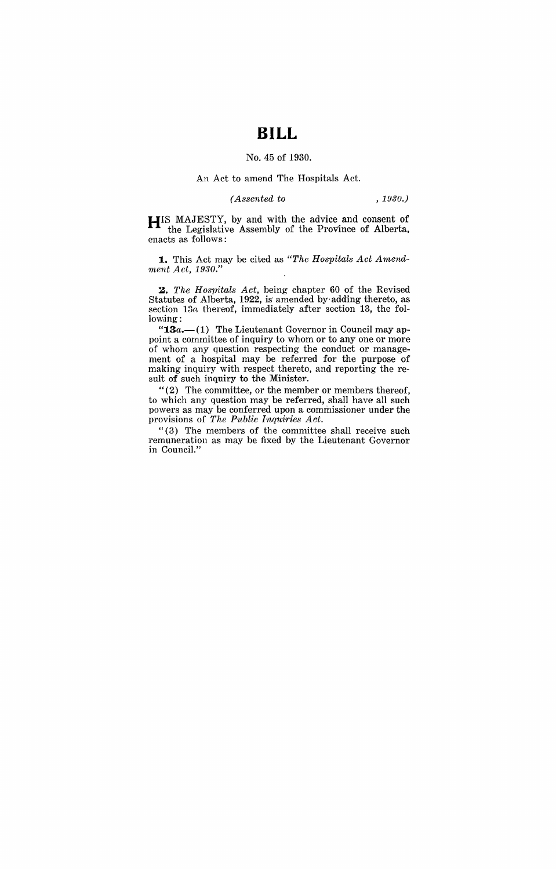# **BILL**

### No. 45 of 1930.

#### An Act to amend The Hospitals Act.

### *(Assented to , 1980.)*

**HIS** MAJESTY, by and with the advice and consent of the Legislative Assembly of the Province of Alberta, enacts as follows:

1. This Act may be cited as "The Hospitals Act Amend*ment Act, 1930."* 

*2. The Hospitals Act,* being chapter 60 of the Revised Statutes of Alberta, 1922, is amended by adding thereto, as section  $13a$  thereof, immediately after section 13, the following:

" $13a$ .  $- (1)$  The Lieutenant Governor in Council may appoint a committee of inquiry to whom or to anyone or more of whom any question respecting the conduct or management of a hospital may be referred for the purpose of making inquiry with respect thereto, and reporting the result of such inquiry to the Minister.

"(2) The committee, or the member or members thereof, to which any question may be referred, shall have all such powers as may be conferred upon a commissioner under the provisions of *The Public Inquiries Act.* 

"(3) The members of the committee shall receive such remuneration as may be fixed by the Lieutenant Governor in Council."